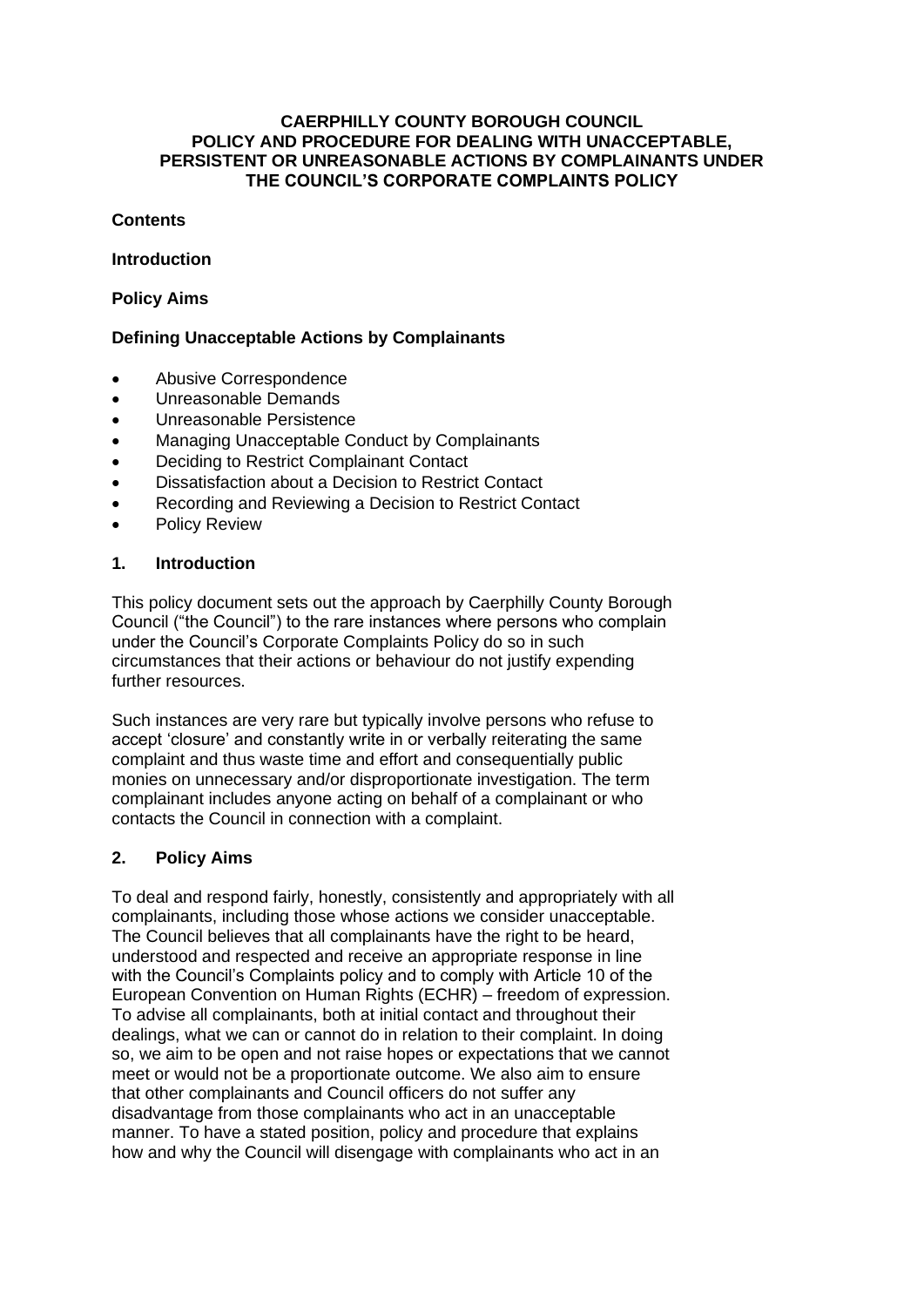#### **CAERPHILLY COUNTY BOROUGH COUNCIL POLICY AND PROCEDURE FOR DEALING WITH UNACCEPTABLE, PERSISTENT OR UNREASONABLE ACTIONS BY COMPLAINANTS UNDER THE COUNCIL'S CORPORATE COMPLAINTS POLICY**

#### **Contents**

#### **Introduction**

#### **Policy Aims**

#### **Defining Unacceptable Actions by Complainants**

- Abusive Correspondence
- Unreasonable Demands
- Unreasonable Persistence
- Managing Unacceptable Conduct by Complainants
- Deciding to Restrict Complainant Contact
- Dissatisfaction about a Decision to Restrict Contact
- Recording and Reviewing a Decision to Restrict Contact
- Policy Review

#### **1. Introduction**

This policy document sets out the approach by Caerphilly County Borough Council ("the Council") to the rare instances where persons who complain under the Council's Corporate Complaints Policy do so in such circumstances that their actions or behaviour do not justify expending further resources.

Such instances are very rare but typically involve persons who refuse to accept 'closure' and constantly write in or verbally reiterating the same complaint and thus waste time and effort and consequentially public monies on unnecessary and/or disproportionate investigation. The term complainant includes anyone acting on behalf of a complainant or who contacts the Council in connection with a complaint.

#### **2. Policy Aims**

To deal and respond fairly, honestly, consistently and appropriately with all complainants, including those whose actions we consider unacceptable. The Council believes that all complainants have the right to be heard, understood and respected and receive an appropriate response in line with the Council's Complaints policy and to comply with Article 10 of the European Convention on Human Rights (ECHR) – freedom of expression. To advise all complainants, both at initial contact and throughout their dealings, what we can or cannot do in relation to their complaint. In doing so, we aim to be open and not raise hopes or expectations that we cannot meet or would not be a proportionate outcome. We also aim to ensure that other complainants and Council officers do not suffer any disadvantage from those complainants who act in an unacceptable manner. To have a stated position, policy and procedure that explains how and why the Council will disengage with complainants who act in an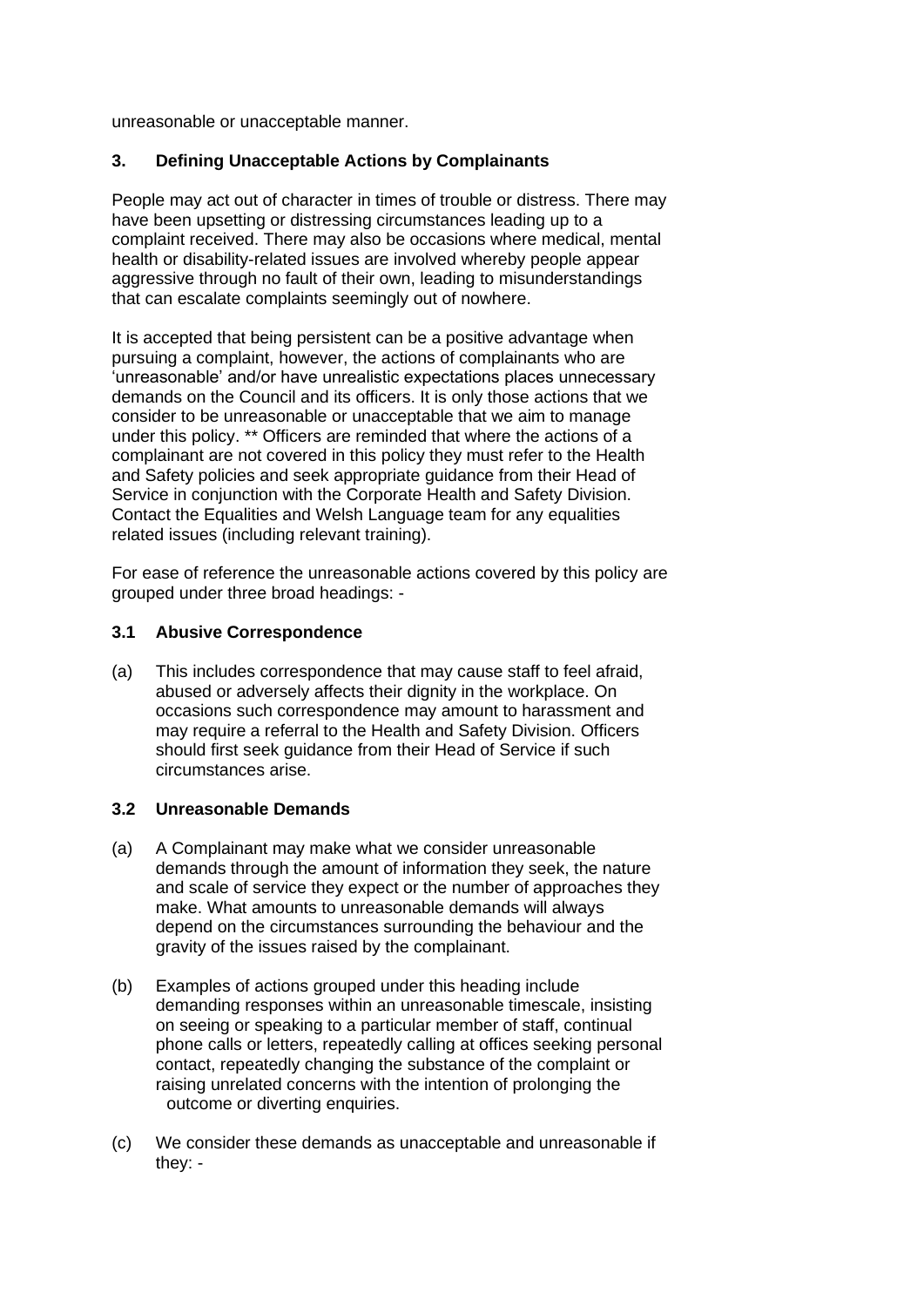unreasonable or unacceptable manner.

## **3. Defining Unacceptable Actions by Complainants**

People may act out of character in times of trouble or distress. There may have been upsetting or distressing circumstances leading up to a complaint received. There may also be occasions where medical, mental health or disability-related issues are involved whereby people appear aggressive through no fault of their own, leading to misunderstandings that can escalate complaints seemingly out of nowhere.

It is accepted that being persistent can be a positive advantage when pursuing a complaint, however, the actions of complainants who are 'unreasonable' and/or have unrealistic expectations places unnecessary demands on the Council and its officers. It is only those actions that we consider to be unreasonable or unacceptable that we aim to manage under this policy. \*\* Officers are reminded that where the actions of a complainant are not covered in this policy they must refer to the Health and Safety policies and seek appropriate guidance from their Head of Service in conjunction with the Corporate Health and Safety Division. Contact the Equalities and Welsh Language team for any equalities related issues (including relevant training).

For ease of reference the unreasonable actions covered by this policy are grouped under three broad headings: -

#### **3.1 Abusive Correspondence**

(a) This includes correspondence that may cause staff to feel afraid, abused or adversely affects their dignity in the workplace. On occasions such correspondence may amount to harassment and may require a referral to the Health and Safety Division. Officers should first seek guidance from their Head of Service if such circumstances arise.

#### **3.2 Unreasonable Demands**

- (a) A Complainant may make what we consider unreasonable demands through the amount of information they seek, the nature and scale of service they expect or the number of approaches they make. What amounts to unreasonable demands will always depend on the circumstances surrounding the behaviour and the gravity of the issues raised by the complainant.
- (b) Examples of actions grouped under this heading include demanding responses within an unreasonable timescale, insisting on seeing or speaking to a particular member of staff, continual phone calls or letters, repeatedly calling at offices seeking personal contact, repeatedly changing the substance of the complaint or raising unrelated concerns with the intention of prolonging the outcome or diverting enquiries.
- (c) We consider these demands as unacceptable and unreasonable if they: -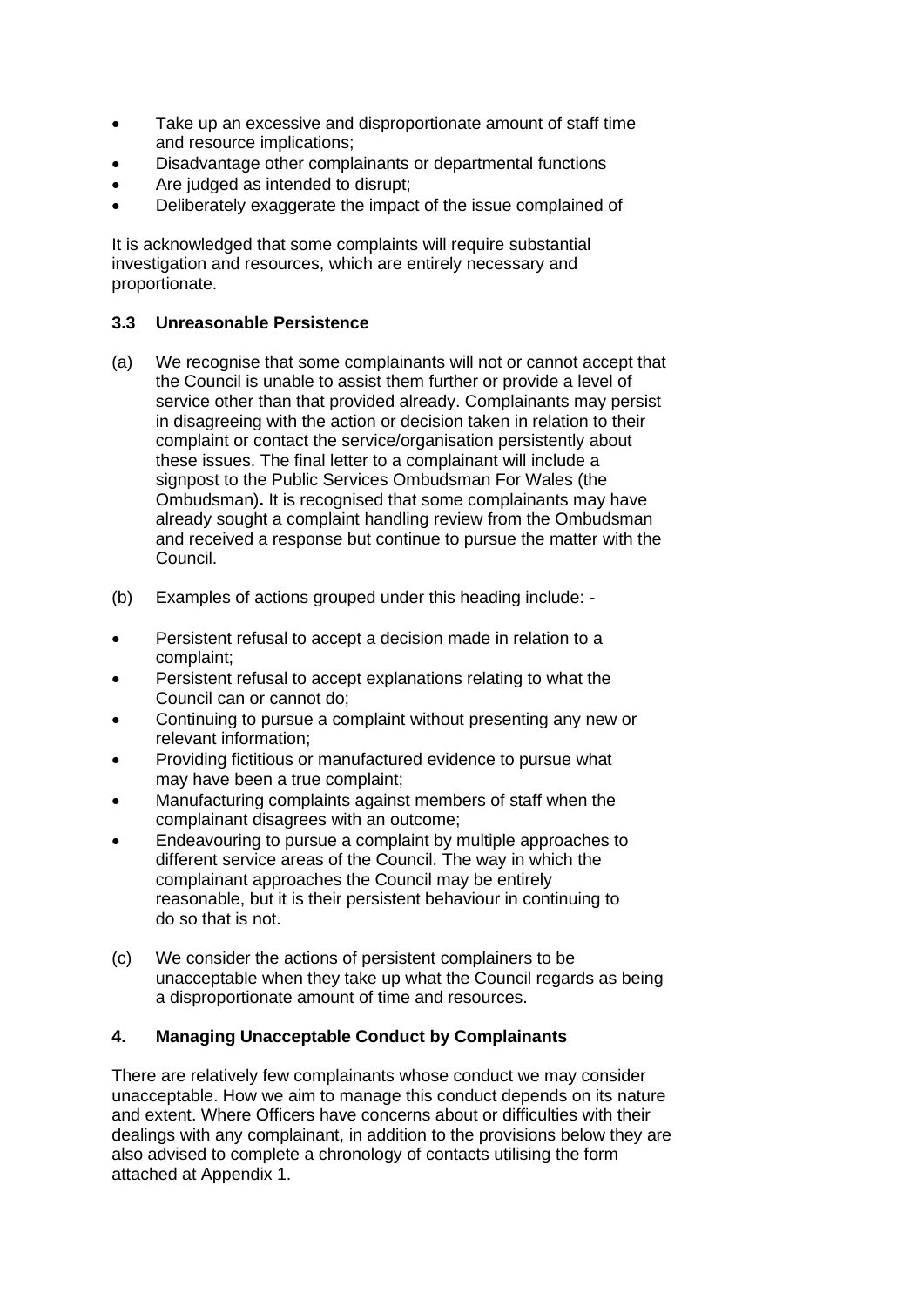- Take up an excessive and disproportionate amount of staff time and resource implications;
- Disadvantage other complainants or departmental functions
- Are judged as intended to disrupt:
- Deliberately exaggerate the impact of the issue complained of

It is acknowledged that some complaints will require substantial investigation and resources, which are entirely necessary and proportionate.

#### **3.3 Unreasonable Persistence**

- (a) We recognise that some complainants will not or cannot accept that the Council is unable to assist them further or provide a level of service other than that provided already. Complainants may persist in disagreeing with the action or decision taken in relation to their complaint or contact the service/organisation persistently about these issues. The final letter to a complainant will include a signpost to the Public Services Ombudsman For Wales (the Ombudsman)**.** It is recognised that some complainants may have already sought a complaint handling review from the Ombudsman and received a response but continue to pursue the matter with the Council.
- (b) Examples of actions grouped under this heading include: -
- Persistent refusal to accept a decision made in relation to a complaint;
- Persistent refusal to accept explanations relating to what the Council can or cannot do;
- Continuing to pursue a complaint without presenting any new or relevant information;
- Providing fictitious or manufactured evidence to pursue what may have been a true complaint;
- Manufacturing complaints against members of staff when the complainant disagrees with an outcome;
- Endeavouring to pursue a complaint by multiple approaches to different service areas of the Council. The way in which the complainant approaches the Council may be entirely reasonable, but it is their persistent behaviour in continuing to do so that is not.
- (c) We consider the actions of persistent complainers to be unacceptable when they take up what the Council regards as being a disproportionate amount of time and resources.

#### **4. Managing Unacceptable Conduct by Complainants**

There are relatively few complainants whose conduct we may consider unacceptable. How we aim to manage this conduct depends on its nature and extent. Where Officers have concerns about or difficulties with their dealings with any complainant, in addition to the provisions below they are also advised to complete a chronology of contacts utilising the form attached at Appendix 1.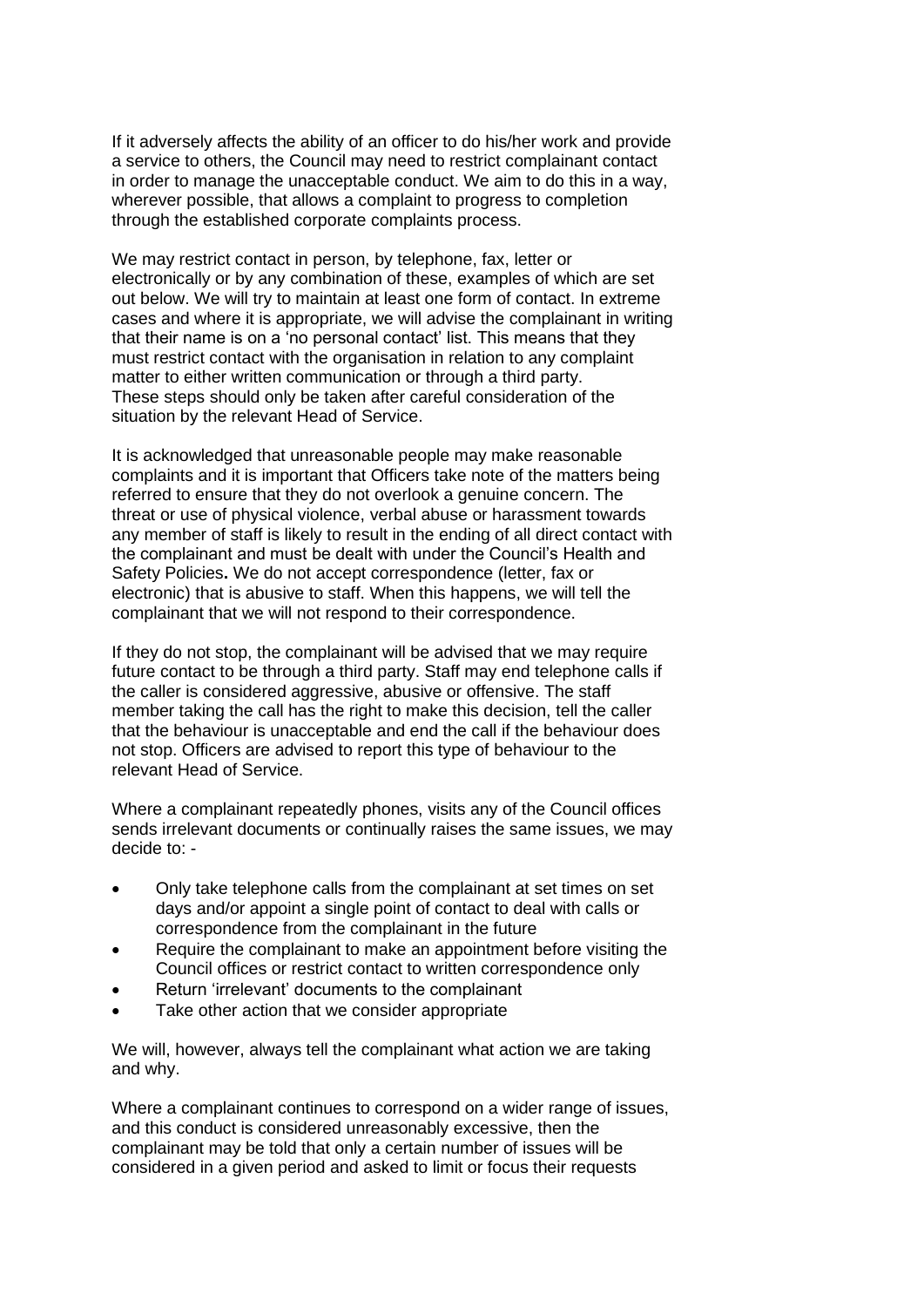If it adversely affects the ability of an officer to do his/her work and provide a service to others, the Council may need to restrict complainant contact in order to manage the unacceptable conduct. We aim to do this in a way, wherever possible, that allows a complaint to progress to completion through the established corporate complaints process.

We may restrict contact in person, by telephone, fax, letter or electronically or by any combination of these, examples of which are set out below. We will try to maintain at least one form of contact. In extreme cases and where it is appropriate, we will advise the complainant in writing that their name is on a 'no personal contact' list. This means that they must restrict contact with the organisation in relation to any complaint matter to either written communication or through a third party. These steps should only be taken after careful consideration of the situation by the relevant Head of Service.

It is acknowledged that unreasonable people may make reasonable complaints and it is important that Officers take note of the matters being referred to ensure that they do not overlook a genuine concern. The threat or use of physical violence, verbal abuse or harassment towards any member of staff is likely to result in the ending of all direct contact with the complainant and must be dealt with under the Council's Health and Safety Policies**.** We do not accept correspondence (letter, fax or electronic) that is abusive to staff. When this happens, we will tell the complainant that we will not respond to their correspondence.

If they do not stop, the complainant will be advised that we may require future contact to be through a third party. Staff may end telephone calls if the caller is considered aggressive, abusive or offensive. The staff member taking the call has the right to make this decision, tell the caller that the behaviour is unacceptable and end the call if the behaviour does not stop. Officers are advised to report this type of behaviour to the relevant Head of Service.

Where a complainant repeatedly phones, visits any of the Council offices sends irrelevant documents or continually raises the same issues, we may decide to: -

- Only take telephone calls from the complainant at set times on set days and/or appoint a single point of contact to deal with calls or correspondence from the complainant in the future
- Require the complainant to make an appointment before visiting the Council offices or restrict contact to written correspondence only
- Return 'irrelevant' documents to the complainant
- Take other action that we consider appropriate

We will, however, always tell the complainant what action we are taking and why.

Where a complainant continues to correspond on a wider range of issues, and this conduct is considered unreasonably excessive, then the complainant may be told that only a certain number of issues will be considered in a given period and asked to limit or focus their requests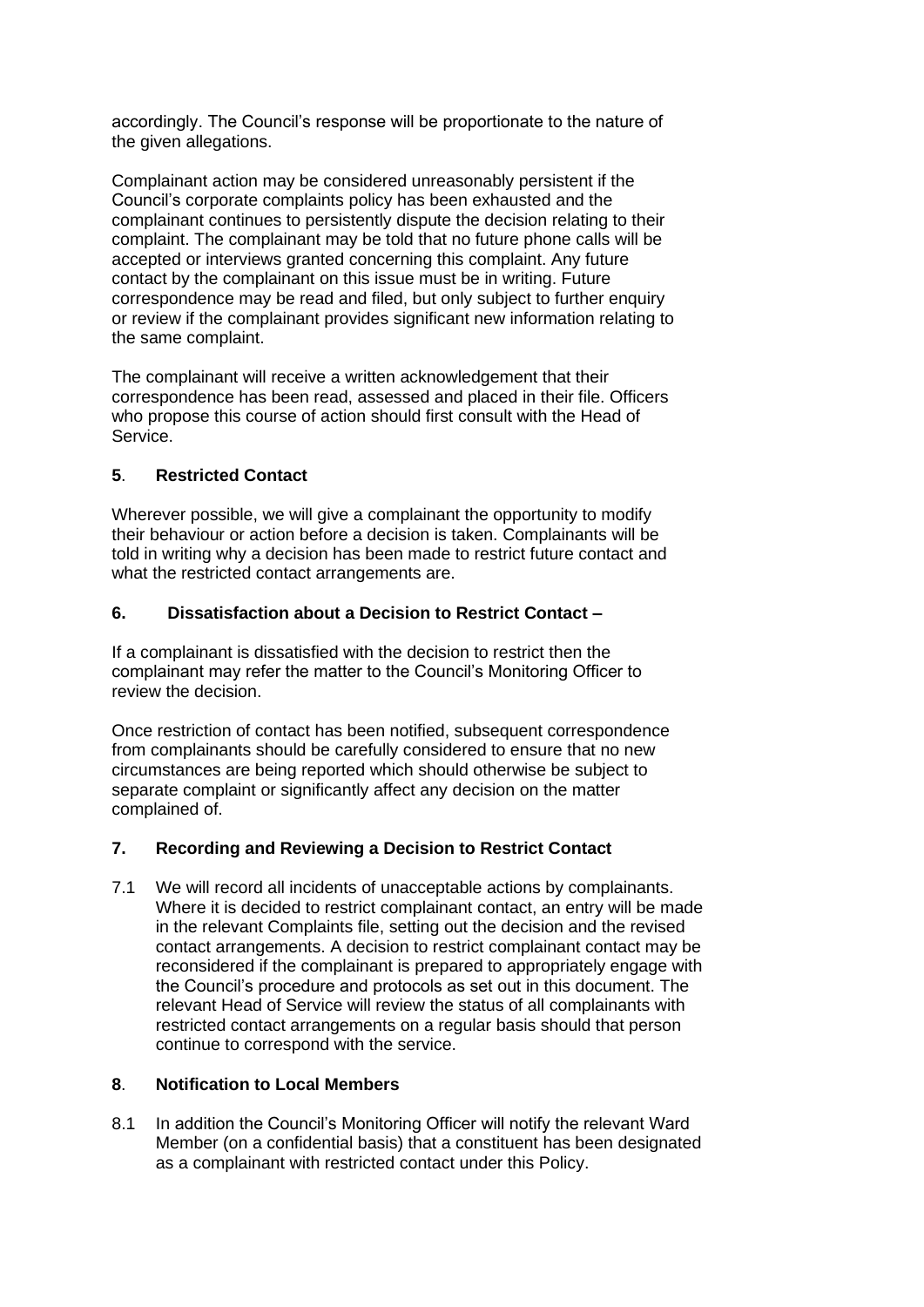accordingly. The Council's response will be proportionate to the nature of the given allegations.

Complainant action may be considered unreasonably persistent if the Council's corporate complaints policy has been exhausted and the complainant continues to persistently dispute the decision relating to their complaint. The complainant may be told that no future phone calls will be accepted or interviews granted concerning this complaint. Any future contact by the complainant on this issue must be in writing. Future correspondence may be read and filed, but only subject to further enquiry or review if the complainant provides significant new information relating to the same complaint.

The complainant will receive a written acknowledgement that their correspondence has been read, assessed and placed in their file. Officers who propose this course of action should first consult with the Head of Service.

## **5**. **Restricted Contact**

Wherever possible, we will give a complainant the opportunity to modify their behaviour or action before a decision is taken. Complainants will be told in writing why a decision has been made to restrict future contact and what the restricted contact arrangements are.

## **6. Dissatisfaction about a Decision to Restrict Contact –**

If a complainant is dissatisfied with the decision to restrict then the complainant may refer the matter to the Council's Monitoring Officer to review the decision.

Once restriction of contact has been notified, subsequent correspondence from complainants should be carefully considered to ensure that no new circumstances are being reported which should otherwise be subject to separate complaint or significantly affect any decision on the matter complained of.

# **7. Recording and Reviewing a Decision to Restrict Contact**

7.1 We will record all incidents of unacceptable actions by complainants. Where it is decided to restrict complainant contact, an entry will be made in the relevant Complaints file, setting out the decision and the revised contact arrangements. A decision to restrict complainant contact may be reconsidered if the complainant is prepared to appropriately engage with the Council's procedure and protocols as set out in this document. The relevant Head of Service will review the status of all complainants with restricted contact arrangements on a regular basis should that person continue to correspond with the service.

#### **8**. **Notification to Local Members**

8.1 In addition the Council's Monitoring Officer will notify the relevant Ward Member (on a confidential basis) that a constituent has been designated as a complainant with restricted contact under this Policy.